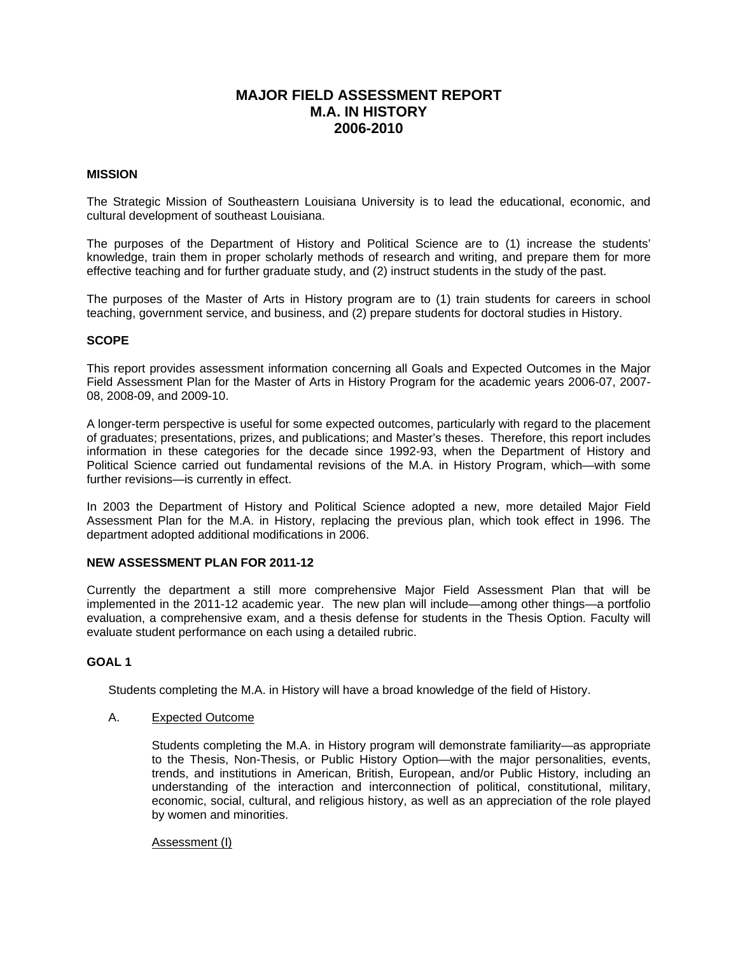# **MAJOR FIELD ASSESSMENT REPORT M.A. IN HISTORY 2006-2010**

# **MISSION**

The Strategic Mission of Southeastern Louisiana University is to lead the educational, economic, and cultural development of southeast Louisiana.

The purposes of the Department of History and Political Science are to (1) increase the students' knowledge, train them in proper scholarly methods of research and writing, and prepare them for more effective teaching and for further graduate study, and (2) instruct students in the study of the past.

The purposes of the Master of Arts in History program are to (1) train students for careers in school teaching, government service, and business, and (2) prepare students for doctoral studies in History.

# **SCOPE**

This report provides assessment information concerning all Goals and Expected Outcomes in the Major Field Assessment Plan for the Master of Arts in History Program for the academic years 2006-07, 2007- 08, 2008-09, and 2009-10.

A longer-term perspective is useful for some expected outcomes, particularly with regard to the placement of graduates; presentations, prizes, and publications; and Master's theses. Therefore, this report includes information in these categories for the decade since 1992-93, when the Department of History and Political Science carried out fundamental revisions of the M.A. in History Program, which—with some further revisions—is currently in effect.

In 2003 the Department of History and Political Science adopted a new, more detailed Major Field Assessment Plan for the M.A. in History, replacing the previous plan, which took effect in 1996. The department adopted additional modifications in 2006.

### **NEW ASSESSMENT PLAN FOR 2011-12**

Currently the department a still more comprehensive Major Field Assessment Plan that will be implemented in the 2011-12 academic year. The new plan will include—among other things—a portfolio evaluation, a comprehensive exam, and a thesis defense for students in the Thesis Option. Faculty will evaluate student performance on each using a detailed rubric.

# **GOAL 1**

Students completing the M.A. in History will have a broad knowledge of the field of History.

### A. Expected Outcome

Students completing the M.A. in History program will demonstrate familiarity—as appropriate to the Thesis, Non-Thesis, or Public History Option—with the major personalities, events, trends, and institutions in American, British, European, and/or Public History, including an understanding of the interaction and interconnection of political, constitutional, military, economic, social, cultural, and religious history, as well as an appreciation of the role played by women and minorities.

Assessment (I)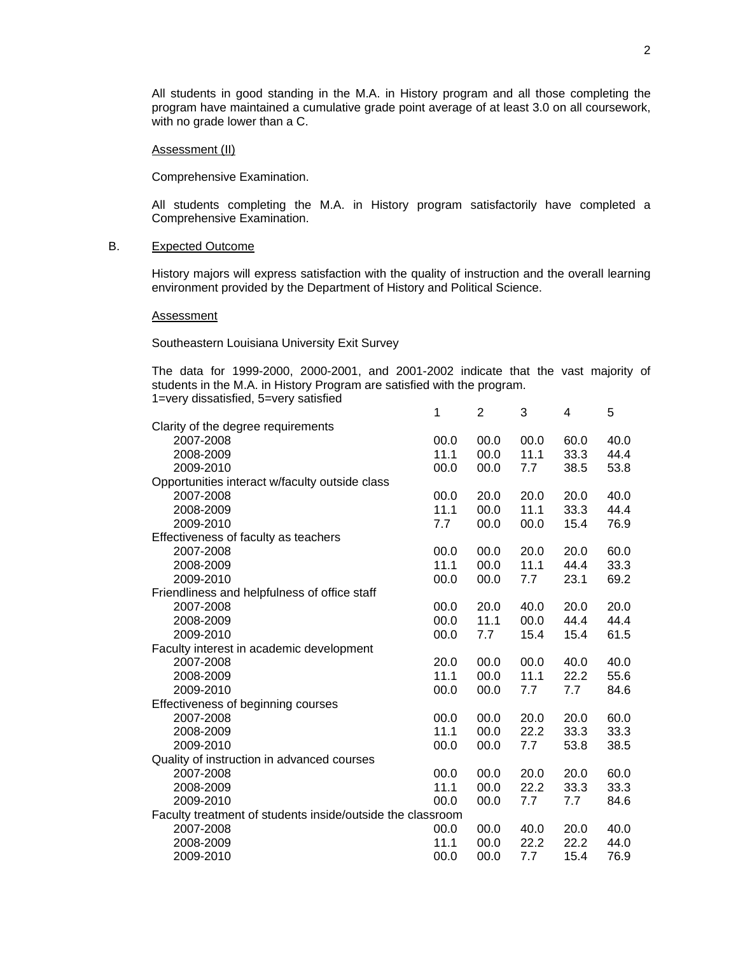All students in good standing in the M.A. in History program and all those completing the program have maintained a cumulative grade point average of at least 3.0 on all coursework, with no grade lower than a C.

# Assessment (II)

Comprehensive Examination.

All students completing the M.A. in History program satisfactorily have completed a Comprehensive Examination.

# B. Expected Outcome

History majors will express satisfaction with the quality of instruction and the overall learning environment provided by the Department of History and Political Science.

Assessment

Southeastern Louisiana University Exit Survey

The data for 1999-2000, 2000-2001, and 2001-2002 indicate that the vast majority of students in the M.A. in History Program are satisfied with the program. 1=very dissatisfied, 5=very satisfied

|                                                            | 1    | $\overline{2}$ | 3    | 4    | 5    |
|------------------------------------------------------------|------|----------------|------|------|------|
| Clarity of the degree requirements                         |      |                |      |      |      |
| 2007-2008                                                  | 00.0 | 00.0           | 00.0 | 60.0 | 40.0 |
| 2008-2009                                                  | 11.1 | 00.0           | 11.1 | 33.3 | 44.4 |
| 2009-2010                                                  | 00.0 | 00.0           | 7.7  | 38.5 | 53.8 |
| Opportunities interact w/faculty outside class             |      |                |      |      |      |
| 2007-2008                                                  | 00.0 | 20.0           | 20.0 | 20.0 | 40.0 |
| 2008-2009                                                  | 11.1 | 00.0           | 11.1 | 33.3 | 44.4 |
| 2009-2010                                                  | 7.7  | 00.0           | 00.0 | 15.4 | 76.9 |
| Effectiveness of faculty as teachers                       |      |                |      |      |      |
| 2007-2008                                                  | 00.0 | 00.0           | 20.0 | 20.0 | 60.0 |
| 2008-2009                                                  | 11.1 | 00.0           | 11.1 | 44.4 | 33.3 |
| 2009-2010                                                  | 00.0 | 00.0           | 7.7  | 23.1 | 69.2 |
| Friendliness and helpfulness of office staff               |      |                |      |      |      |
| 2007-2008                                                  | 00.0 | 20.0           | 40.0 | 20.0 | 20.0 |
| 2008-2009                                                  | 00.0 | 11.1           | 00.0 | 44.4 | 44.4 |
| 2009-2010                                                  | 00.0 | 7.7            | 15.4 | 15.4 | 61.5 |
| Faculty interest in academic development                   |      |                |      |      |      |
| 2007-2008                                                  | 20.0 | 00.0           | 00.0 | 40.0 | 40.0 |
| 2008-2009                                                  | 11.1 | 00.0           | 11.1 | 22.2 | 55.6 |
| 2009-2010                                                  | 00.0 | 00.0           | 7.7  | 7.7  | 84.6 |
| Effectiveness of beginning courses                         |      |                |      |      |      |
| 2007-2008                                                  | 00.0 | 00.0           | 20.0 | 20.0 | 60.0 |
| 2008-2009                                                  | 11.1 | 00.0           | 22.2 | 33.3 | 33.3 |
| 2009-2010                                                  | 00.0 | 00.0           | 7.7  | 53.8 | 38.5 |
| Quality of instruction in advanced courses                 |      |                |      |      |      |
| 2007-2008                                                  | 00.0 | 00.0           | 20.0 | 20.0 | 60.0 |
| 2008-2009                                                  | 11.1 | 00.0           | 22.2 | 33.3 | 33.3 |
| 2009-2010                                                  | 00.0 | 00.0           | 7.7  | 7.7  | 84.6 |
| Faculty treatment of students inside/outside the classroom |      |                |      |      |      |
| 2007-2008                                                  | 00.0 | 00.0           | 40.0 | 20.0 | 40.0 |
| 2008-2009                                                  | 11.1 | 00.0           | 22.2 | 22.2 | 44.0 |
| 2009-2010                                                  | 00.0 | 00.0           | 7.7  | 15.4 | 76.9 |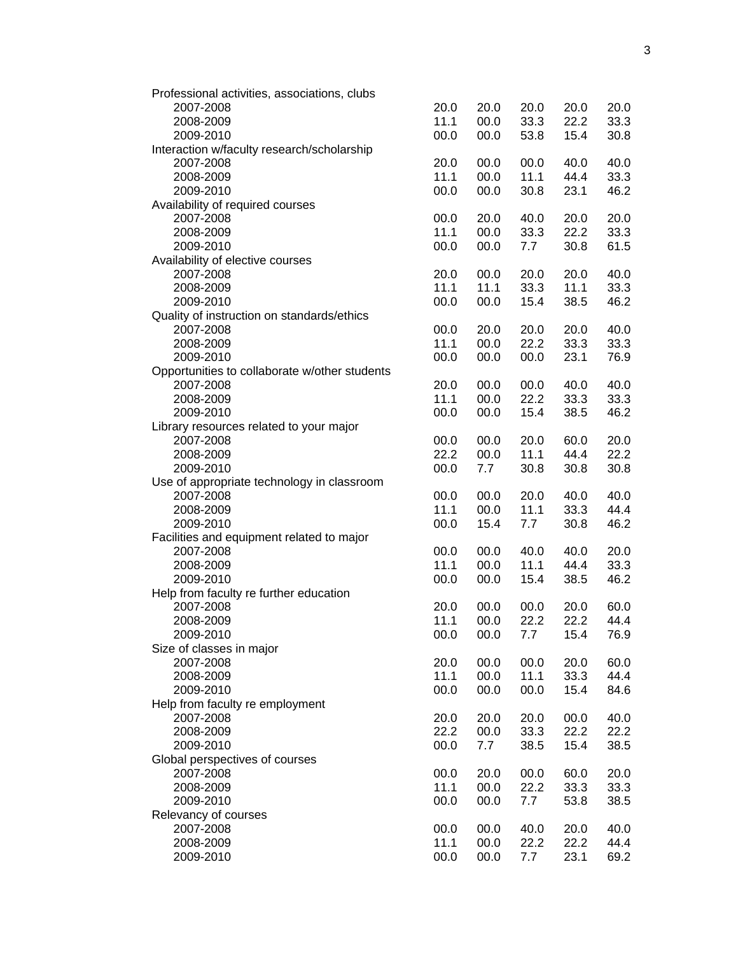| Professional activities, associations, clubs  |      |      |      |      |      |
|-----------------------------------------------|------|------|------|------|------|
| 2007-2008                                     | 20.0 | 20.0 | 20.0 | 20.0 | 20.0 |
| 2008-2009                                     | 11.1 | 00.0 | 33.3 | 22.2 | 33.3 |
| 2009-2010                                     | 00.0 | 00.0 | 53.8 | 15.4 | 30.8 |
| Interaction w/faculty research/scholarship    |      |      |      |      |      |
| 2007-2008                                     | 20.0 | 00.0 | 00.0 | 40.0 | 40.0 |
| 2008-2009                                     | 11.1 | 00.0 | 11.1 | 44.4 | 33.3 |
| 2009-2010                                     | 00.0 | 00.0 | 30.8 | 23.1 | 46.2 |
| Availability of required courses              |      |      |      |      |      |
|                                               |      |      | 40.0 |      |      |
| 2007-2008                                     | 00.0 | 20.0 |      | 20.0 | 20.0 |
| 2008-2009                                     | 11.1 | 00.0 | 33.3 | 22.2 | 33.3 |
| 2009-2010                                     | 00.0 | 00.0 | 7.7  | 30.8 | 61.5 |
| Availability of elective courses              |      |      |      |      |      |
| 2007-2008                                     | 20.0 | 00.0 | 20.0 | 20.0 | 40.0 |
| 2008-2009                                     | 11.1 | 11.1 | 33.3 | 11.1 | 33.3 |
| 2009-2010                                     | 00.0 | 00.0 | 15.4 | 38.5 | 46.2 |
| Quality of instruction on standards/ethics    |      |      |      |      |      |
| 2007-2008                                     | 00.0 | 20.0 | 20.0 | 20.0 | 40.0 |
| 2008-2009                                     | 11.1 | 00.0 | 22.2 | 33.3 | 33.3 |
| 2009-2010                                     | 00.0 | 00.0 | 00.0 | 23.1 | 76.9 |
| Opportunities to collaborate w/other students |      |      |      |      |      |
| 2007-2008                                     | 20.0 | 00.0 | 00.0 | 40.0 | 40.0 |
| 2008-2009                                     | 11.1 | 00.0 | 22.2 | 33.3 | 33.3 |
| 2009-2010                                     | 00.0 | 00.0 | 15.4 | 38.5 | 46.2 |
|                                               |      |      |      |      |      |
| Library resources related to your major       |      |      |      |      |      |
| 2007-2008                                     | 00.0 | 00.0 | 20.0 | 60.0 | 20.0 |
| 2008-2009                                     | 22.2 | 00.0 | 11.1 | 44.4 | 22.2 |
| 2009-2010                                     | 00.0 | 7.7  | 30.8 | 30.8 | 30.8 |
| Use of appropriate technology in classroom    |      |      |      |      |      |
| 2007-2008                                     | 00.0 | 00.0 | 20.0 | 40.0 | 40.0 |
| 2008-2009                                     | 11.1 | 00.0 | 11.1 | 33.3 | 44.4 |
| 2009-2010                                     | 00.0 | 15.4 | 7.7  | 30.8 | 46.2 |
| Facilities and equipment related to major     |      |      |      |      |      |
| 2007-2008                                     | 00.0 | 00.0 | 40.0 | 40.0 | 20.0 |
| 2008-2009                                     | 11.1 | 00.0 | 11.1 | 44.4 | 33.3 |
| 2009-2010                                     | 00.0 | 00.0 | 15.4 | 38.5 | 46.2 |
| Help from faculty re further education        |      |      |      |      |      |
|                                               | 20.0 | 00.0 |      | 20.0 | 60.0 |
| 2007-2008                                     |      |      | 00.0 |      |      |
| 2008-2009                                     | 11.1 | 00.0 | 22.2 | 22.2 | 44.4 |
| 2009-2010                                     | 00.0 | 00.0 | 7.7  | 15.4 | 76.9 |
| Size of classes in major                      |      |      |      |      |      |
| 2007-2008                                     | 20.0 | 00.0 | 00.0 | 20.0 | 60.0 |
| 2008-2009                                     | 11.1 | 00.0 | 11.1 | 33.3 | 44.4 |
| 2009-2010                                     | 00.0 | 00.0 | 00.0 | 15.4 | 84.6 |
| Help from faculty re employment               |      |      |      |      |      |
| 2007-2008                                     | 20.0 | 20.0 | 20.0 | 00.0 | 40.0 |
| 2008-2009                                     | 22.2 | 00.0 | 33.3 | 22.2 | 22.2 |
| 2009-2010                                     | 00.0 | 7.7  | 38.5 | 15.4 | 38.5 |
| Global perspectives of courses                |      |      |      |      |      |
| 2007-2008                                     | 00.0 | 20.0 | 00.0 | 60.0 | 20.0 |
| 2008-2009                                     | 11.1 | 00.0 | 22.2 | 33.3 | 33.3 |
|                                               |      |      |      |      |      |
| 2009-2010                                     | 00.0 | 00.0 | 7.7  | 53.8 | 38.5 |
| Relevancy of courses                          |      |      |      |      |      |
| 2007-2008                                     | 00.0 | 00.0 | 40.0 | 20.0 | 40.0 |
| 2008-2009                                     | 11.1 | 00.0 | 22.2 | 22.2 | 44.4 |
| 2009-2010                                     | 00.0 | 00.0 | 7.7  | 23.1 | 69.2 |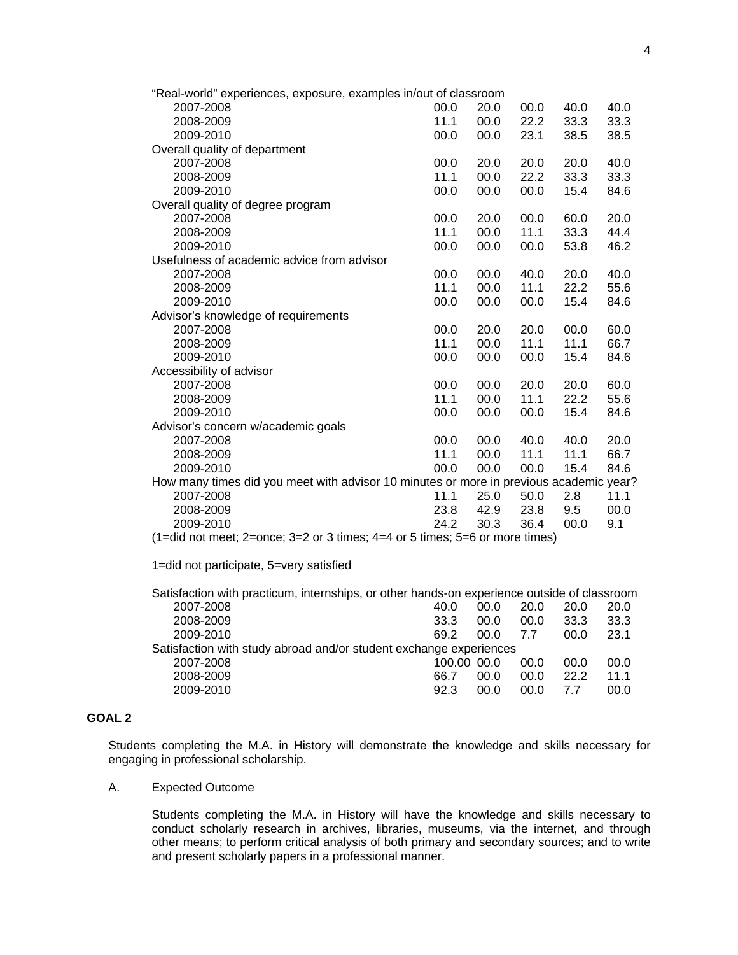| "Real-world" experiences, exposure, examples in/out of classroom                       |      |      |      |      |      |
|----------------------------------------------------------------------------------------|------|------|------|------|------|
| 2007-2008                                                                              | 00.0 | 20.0 | 00.0 | 40.0 | 40.0 |
| 2008-2009                                                                              | 11.1 | 00.0 | 22.2 | 33.3 | 33.3 |
| 2009-2010                                                                              | 00.0 | 00.0 | 23.1 | 38.5 | 38.5 |
| Overall quality of department                                                          |      |      |      |      |      |
| 2007-2008                                                                              | 00.0 | 20.0 | 20.0 | 20.0 | 40.0 |
| 2008-2009                                                                              | 11.1 | 00.0 | 22.2 | 33.3 | 33.3 |
| 2009-2010                                                                              | 00.0 | 00.0 | 00.0 | 15.4 | 84.6 |
| Overall quality of degree program                                                      |      |      |      |      |      |
| 2007-2008                                                                              | 00.0 | 20.0 | 00.0 | 60.0 | 20.0 |
| 2008-2009                                                                              | 11.1 | 00.0 | 11.1 | 33.3 | 44.4 |
| 2009-2010                                                                              | 00.0 | 00.0 | 00.0 | 53.8 | 46.2 |
| Usefulness of academic advice from advisor                                             |      |      |      |      |      |
| 2007-2008                                                                              | 00.0 | 00.0 | 40.0 | 20.0 | 40.0 |
| 2008-2009                                                                              | 11.1 | 00.0 | 11.1 | 22.2 | 55.6 |
| 2009-2010                                                                              | 00.0 | 00.0 | 00.0 | 15.4 | 84.6 |
| Advisor's knowledge of requirements                                                    |      |      |      |      |      |
| 2007-2008                                                                              | 00.0 | 20.0 | 20.0 | 00.0 | 60.0 |
| 2008-2009                                                                              | 11.1 | 00.0 | 11.1 | 11.1 | 66.7 |
| 2009-2010                                                                              | 00.0 | 00.0 | 00.0 | 15.4 | 84.6 |
| Accessibility of advisor                                                               |      |      |      |      |      |
| 2007-2008                                                                              | 00.0 | 00.0 | 20.0 | 20.0 | 60.0 |
| 2008-2009                                                                              | 11.1 | 00.0 | 11.1 | 22.2 | 55.6 |
| 2009-2010                                                                              | 00.0 | 00.0 | 00.0 | 15.4 | 84.6 |
| Advisor's concern w/academic goals                                                     |      |      |      |      |      |
| 2007-2008                                                                              | 00.0 | 00.0 | 40.0 | 40.0 | 20.0 |
| 2008-2009                                                                              | 11.1 | 00.0 | 11.1 | 11.1 | 66.7 |
| 2009-2010                                                                              | 00.0 | 00.0 | 00.0 | 15.4 | 84.6 |
| How many times did you meet with advisor 10 minutes or more in previous academic year? |      |      |      |      |      |
| 2007-2008                                                                              | 11.1 | 25.0 | 50.0 | 2.8  | 11.1 |
| 2008-2009                                                                              | 23.8 | 42.9 | 23.8 | 9.5  | 00.0 |
| 2009-2010                                                                              | 24.2 | 30.3 | 36.4 | 00.0 | 9.1  |
| $(1=$ did not meet; 2=once; 3=2 or 3 times; 4=4 or 5 times; 5=6 or more times)         |      |      |      |      |      |

1=did not participate, 5=very satisfied

| 40.0 | 00.0 | 20.0        | 20.0                                                               | 20.0                                                                                        |
|------|------|-------------|--------------------------------------------------------------------|---------------------------------------------------------------------------------------------|
| 33.3 | 00.0 | 00.0        | 33.3                                                               | 33.3                                                                                        |
| 69 2 | 00.O | 77          | 00.O                                                               | 23.1                                                                                        |
|      |      |             |                                                                    |                                                                                             |
|      |      | 00.0        | 00.0                                                               | 00.0                                                                                        |
| 66.7 | 00.0 | 00.0        | 22.2                                                               | 11.1                                                                                        |
| 92.3 | 00.0 | 00.0        | 77                                                                 | 00.0                                                                                        |
|      |      | 100.00 00.0 | Satisfaction with study abroad and/or student exchange experiences | Satisfaction with practicum, internships, or other hands-on experience outside of classroom |

# **GOAL 2**

Students completing the M.A. in History will demonstrate the knowledge and skills necessary for engaging in professional scholarship.

# A. Expected Outcome

Students completing the M.A. in History will have the knowledge and skills necessary to conduct scholarly research in archives, libraries, museums, via the internet, and through other means; to perform critical analysis of both primary and secondary sources; and to write and present scholarly papers in a professional manner.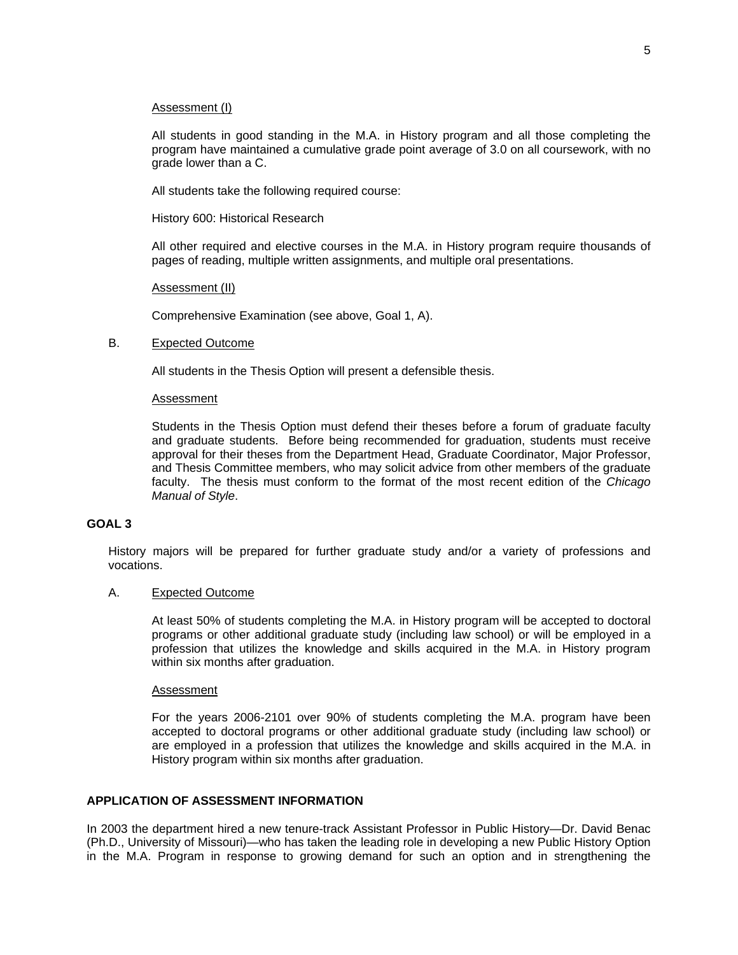# Assessment (I)

All students in good standing in the M.A. in History program and all those completing the program have maintained a cumulative grade point average of 3.0 on all coursework, with no grade lower than a C.

All students take the following required course:

History 600: Historical Research

All other required and elective courses in the M.A. in History program require thousands of pages of reading, multiple written assignments, and multiple oral presentations.

# Assessment (II)

Comprehensive Examination (see above, Goal 1, A).

# B. Expected Outcome

All students in the Thesis Option will present a defensible thesis.

### Assessment

Students in the Thesis Option must defend their theses before a forum of graduate faculty and graduate students. Before being recommended for graduation, students must receive approval for their theses from the Department Head, Graduate Coordinator, Major Professor, and Thesis Committee members, who may solicit advice from other members of the graduate faculty. The thesis must conform to the format of the most recent edition of the *Chicago Manual of Style*.

# **GOAL 3**

History majors will be prepared for further graduate study and/or a variety of professions and vocations.

### A. Expected Outcome

At least 50% of students completing the M.A. in History program will be accepted to doctoral programs or other additional graduate study (including law school) or will be employed in a profession that utilizes the knowledge and skills acquired in the M.A. in History program within six months after graduation.

### Assessment

For the years 2006-2101 over 90% of students completing the M.A. program have been accepted to doctoral programs or other additional graduate study (including law school) or are employed in a profession that utilizes the knowledge and skills acquired in the M.A. in History program within six months after graduation.

# **APPLICATION OF ASSESSMENT INFORMATION**

In 2003 the department hired a new tenure-track Assistant Professor in Public History—Dr. David Benac (Ph.D., University of Missouri)—who has taken the leading role in developing a new Public History Option in the M.A. Program in response to growing demand for such an option and in strengthening the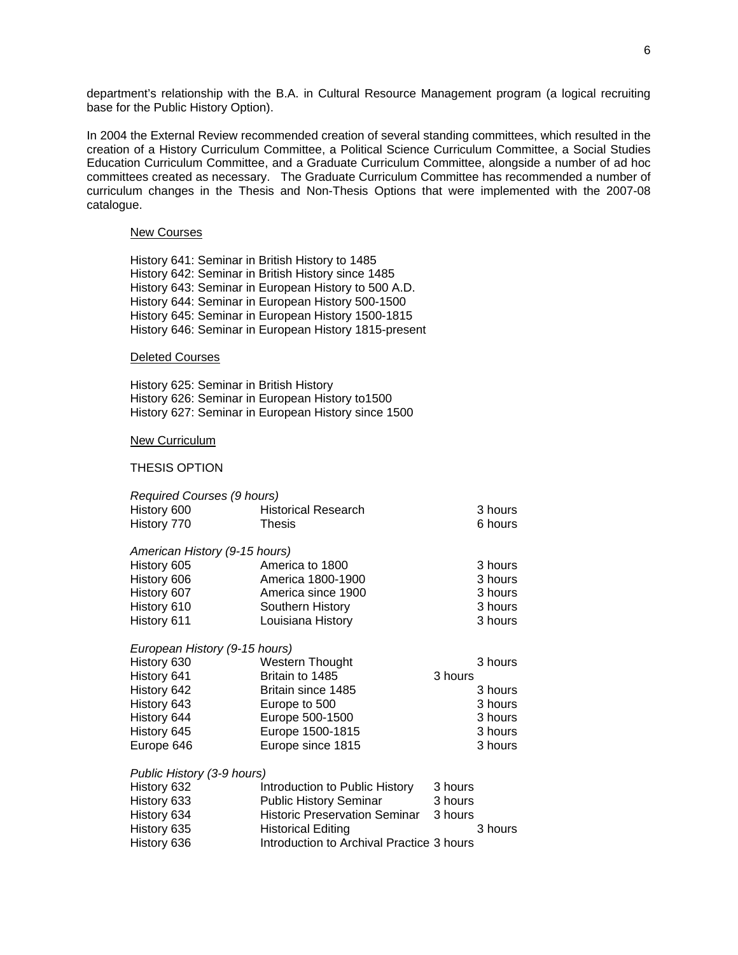department's relationship with the B.A. in Cultural Resource Management program (a logical recruiting base for the Public History Option).

In 2004 the External Review recommended creation of several standing committees, which resulted in the creation of a History Curriculum Committee, a Political Science Curriculum Committee, a Social Studies Education Curriculum Committee, and a Graduate Curriculum Committee, alongside a number of ad hoc committees created as necessary. The Graduate Curriculum Committee has recommended a number of curriculum changes in the Thesis and Non-Thesis Options that were implemented with the 2007-08 catalogue.

#### New Courses

 History 641: Seminar in British History to 1485 History 642: Seminar in British History since 1485 History 643: Seminar in European History to 500 A.D. History 644: Seminar in European History 500-1500 History 645: Seminar in European History 1500-1815 History 646: Seminar in European History 1815-present

### Deleted Courses

 History 625: Seminar in British History History 626: Seminar in European History to1500 History 627: Seminar in European History since 1500

### New Curriculum

#### THESIS OPTION

| <b>Required Courses (9 hours)</b> |                                      |         |
|-----------------------------------|--------------------------------------|---------|
| History 600                       | <b>Historical Research</b>           | 3 hours |
| History 770                       | <b>Thesis</b>                        | 6 hours |
| American History (9-15 hours)     |                                      |         |
| History 605                       | America to 1800                      | 3 hours |
| History 606                       | America 1800-1900                    | 3 hours |
| History 607                       | America since 1900                   | 3 hours |
| History 610                       | Southern History                     | 3 hours |
| History 611                       | Louisiana History                    | 3 hours |
| European History (9-15 hours)     |                                      |         |
| History 630                       | Western Thought                      | 3 hours |
| History 641                       | Britain to 1485                      | 3 hours |
| History 642                       | Britain since 1485                   | 3 hours |
| History 643                       | Europe to 500                        | 3 hours |
| History 644                       | Europe 500-1500                      | 3 hours |
| History 645                       | Europe 1500-1815                     | 3 hours |
| Europe 646                        | Europe since 1815                    | 3 hours |
| Public History (3-9 hours)        |                                      |         |
| History 632                       | Introduction to Public History       | 3 hours |
| History 633                       | <b>Public History Seminar</b>        | 3 hours |
| History 634                       | <b>Historic Preservation Seminar</b> | 3 hours |
| History 635                       | <b>Historical Editing</b>            | 3 hours |
|                                   |                                      |         |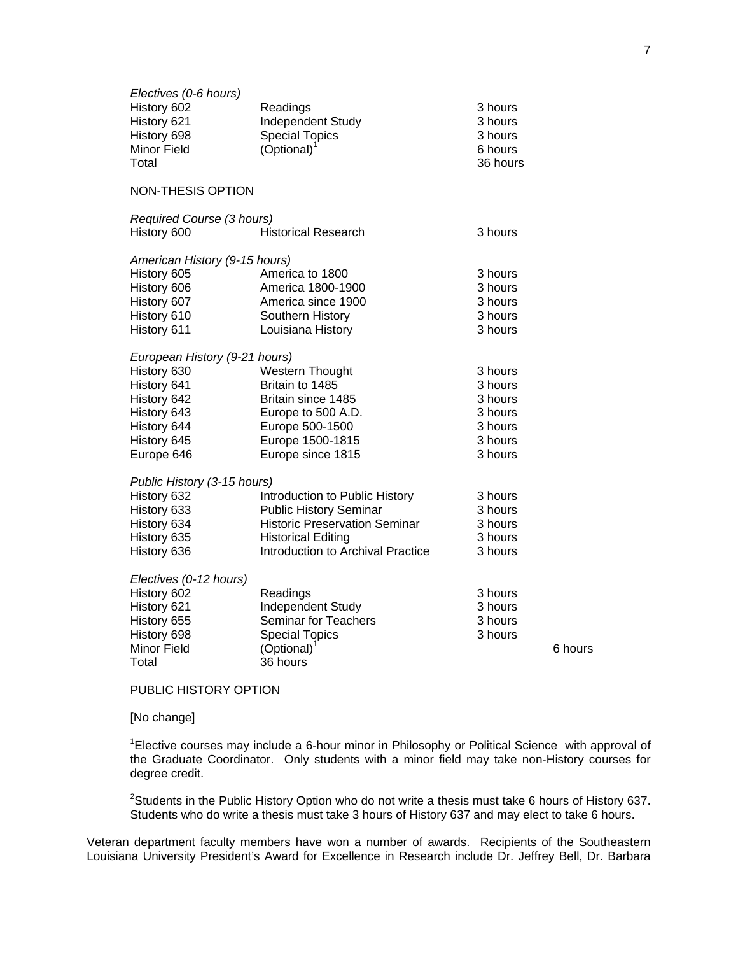| Electives (0-6 hours)<br>History 602<br>History 621<br>History 698<br>Minor Field<br>Total | Readings<br>Independent Study<br><b>Special Topics</b><br>(Optional) | 3 hours<br>3 hours<br>3 hours<br>6 hours<br>36 hours |         |
|--------------------------------------------------------------------------------------------|----------------------------------------------------------------------|------------------------------------------------------|---------|
| <b>NON-THESIS OPTION</b>                                                                   |                                                                      |                                                      |         |
| Required Course (3 hours)                                                                  |                                                                      |                                                      |         |
| History 600                                                                                | <b>Historical Research</b>                                           | 3 hours                                              |         |
| American History (9-15 hours)                                                              |                                                                      |                                                      |         |
| History 605                                                                                | America to 1800                                                      | 3 hours                                              |         |
| History 606                                                                                | America 1800-1900                                                    | 3 hours                                              |         |
| History 607                                                                                | America since 1900                                                   | 3 hours                                              |         |
| History 610                                                                                | Southern History                                                     | 3 hours                                              |         |
| History 611                                                                                | Louisiana History                                                    | 3 hours                                              |         |
| European History (9-21 hours)                                                              |                                                                      |                                                      |         |
| History 630                                                                                | Western Thought                                                      | 3 hours                                              |         |
| History 641                                                                                | Britain to 1485                                                      | 3 hours                                              |         |
| History 642                                                                                | Britain since 1485                                                   | 3 hours                                              |         |
| History 643                                                                                | Europe to 500 A.D.                                                   | 3 hours                                              |         |
| History 644                                                                                | Europe 500-1500                                                      | 3 hours                                              |         |
| History 645                                                                                | Europe 1500-1815                                                     | 3 hours                                              |         |
| Europe 646                                                                                 | Europe since 1815                                                    | 3 hours                                              |         |
| Public History (3-15 hours)                                                                |                                                                      |                                                      |         |
| History 632                                                                                | Introduction to Public History                                       | 3 hours                                              |         |
| History 633                                                                                | <b>Public History Seminar</b>                                        | 3 hours                                              |         |
| History 634                                                                                | <b>Historic Preservation Seminar</b>                                 | 3 hours                                              |         |
| History 635                                                                                | <b>Historical Editing</b>                                            | 3 hours                                              |         |
| History 636                                                                                | Introduction to Archival Practice                                    | 3 hours                                              |         |
| Electives (0-12 hours)                                                                     |                                                                      |                                                      |         |
| History 602                                                                                | Readings                                                             | 3 hours                                              |         |
| History 621                                                                                | Independent Study                                                    | 3 hours                                              |         |
| History 655                                                                                | Seminar for Teachers                                                 | 3 hours                                              |         |
| History 698                                                                                | <b>Special Topics</b>                                                | 3 hours                                              |         |
| <b>Minor Field</b>                                                                         | (Optional)                                                           |                                                      | 6 hours |
| Total                                                                                      | 36 hours                                                             |                                                      |         |

PUBLIC HISTORY OPTION

[No change]

<sup>1</sup>Elective courses may include a 6-hour minor in Philosophy or Political Science with approval of the Graduate Coordinator. Only students with a minor field may take non-History courses for degree credit.

<sup>2</sup>Students in the Public History Option who do not write a thesis must take 6 hours of History 637. Students who do write a thesis must take 3 hours of History 637 and may elect to take 6 hours.

Veteran department faculty members have won a number of awards. Recipients of the Southeastern Louisiana University President's Award for Excellence in Research include Dr. Jeffrey Bell, Dr. Barbara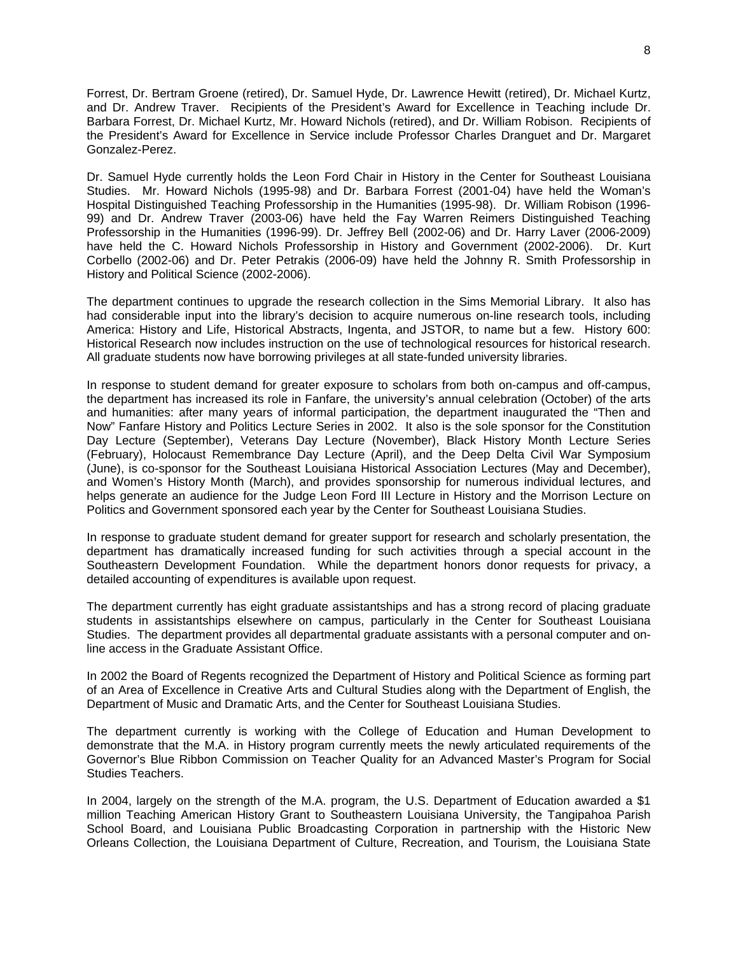Forrest, Dr. Bertram Groene (retired), Dr. Samuel Hyde, Dr. Lawrence Hewitt (retired), Dr. Michael Kurtz, and Dr. Andrew Traver. Recipients of the President's Award for Excellence in Teaching include Dr. Barbara Forrest, Dr. Michael Kurtz, Mr. Howard Nichols (retired), and Dr. William Robison. Recipients of the President's Award for Excellence in Service include Professor Charles Dranguet and Dr. Margaret Gonzalez-Perez.

Dr. Samuel Hyde currently holds the Leon Ford Chair in History in the Center for Southeast Louisiana Studies. Mr. Howard Nichols (1995-98) and Dr. Barbara Forrest (2001-04) have held the Woman's Hospital Distinguished Teaching Professorship in the Humanities (1995-98). Dr. William Robison (1996- 99) and Dr. Andrew Traver (2003-06) have held the Fay Warren Reimers Distinguished Teaching Professorship in the Humanities (1996-99). Dr. Jeffrey Bell (2002-06) and Dr. Harry Laver (2006-2009) have held the C. Howard Nichols Professorship in History and Government (2002-2006). Dr. Kurt Corbello (2002-06) and Dr. Peter Petrakis (2006-09) have held the Johnny R. Smith Professorship in History and Political Science (2002-2006).

The department continues to upgrade the research collection in the Sims Memorial Library. It also has had considerable input into the library's decision to acquire numerous on-line research tools, including America: History and Life, Historical Abstracts, Ingenta, and JSTOR, to name but a few. History 600: Historical Research now includes instruction on the use of technological resources for historical research. All graduate students now have borrowing privileges at all state-funded university libraries.

In response to student demand for greater exposure to scholars from both on-campus and off-campus, the department has increased its role in Fanfare, the university's annual celebration (October) of the arts and humanities: after many years of informal participation, the department inaugurated the "Then and Now" Fanfare History and Politics Lecture Series in 2002. It also is the sole sponsor for the Constitution Day Lecture (September), Veterans Day Lecture (November), Black History Month Lecture Series (February), Holocaust Remembrance Day Lecture (April), and the Deep Delta Civil War Symposium (June), is co-sponsor for the Southeast Louisiana Historical Association Lectures (May and December), and Women's History Month (March), and provides sponsorship for numerous individual lectures, and helps generate an audience for the Judge Leon Ford III Lecture in History and the Morrison Lecture on Politics and Government sponsored each year by the Center for Southeast Louisiana Studies.

In response to graduate student demand for greater support for research and scholarly presentation, the department has dramatically increased funding for such activities through a special account in the Southeastern Development Foundation. While the department honors donor requests for privacy, a detailed accounting of expenditures is available upon request.

The department currently has eight graduate assistantships and has a strong record of placing graduate students in assistantships elsewhere on campus, particularly in the Center for Southeast Louisiana Studies. The department provides all departmental graduate assistants with a personal computer and online access in the Graduate Assistant Office.

In 2002 the Board of Regents recognized the Department of History and Political Science as forming part of an Area of Excellence in Creative Arts and Cultural Studies along with the Department of English, the Department of Music and Dramatic Arts, and the Center for Southeast Louisiana Studies.

The department currently is working with the College of Education and Human Development to demonstrate that the M.A. in History program currently meets the newly articulated requirements of the Governor's Blue Ribbon Commission on Teacher Quality for an Advanced Master's Program for Social Studies Teachers.

In 2004, largely on the strength of the M.A. program, the U.S. Department of Education awarded a \$1 million Teaching American History Grant to Southeastern Louisiana University, the Tangipahoa Parish School Board, and Louisiana Public Broadcasting Corporation in partnership with the Historic New Orleans Collection, the Louisiana Department of Culture, Recreation, and Tourism, the Louisiana State